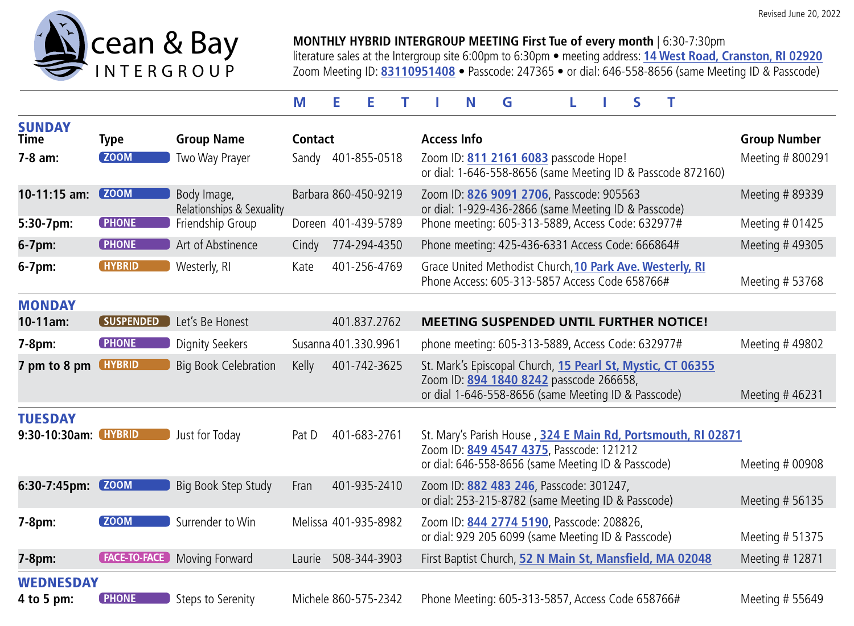

## **MONTHLY HYBRID INTERGROUP MEETING First Tue of every month** | 6:30-7:30pm

literature sales at the Intergroup site 6:00pm to 6:30pm • meeting address: **[14 West Road, Cranston, RI 02920](https://www.google.com/maps/place/14+W+Rd.,+Cranston,+RI+02920/@41.7437804,-71.4633446,17z/data=!3m1!4b1!4m5!3m4!1s0x89e44ebba02e1cab:0x5c65624b66032c22!8m2!3d41.7437764!4d-71.4611506?hl=en)** Zoom Meeting ID: **[83110951408](https://zoom.us/j/83110951408)** • Passcode: 247365 • or dial: 646-558-8656 (same Meeting ID & Passcode)

## **MEETING LIST**

| <b>SUNDAY</b><br><b>Time</b>    | <b>Type</b>         | <b>Group Name</b>                        | <b>Contact</b>         | <b>Access Info</b>                                                                                                                                             | <b>Group Number</b> |
|---------------------------------|---------------------|------------------------------------------|------------------------|----------------------------------------------------------------------------------------------------------------------------------------------------------------|---------------------|
| $7 - 8$ am:                     | <b>ZOOM</b>         | Two Way Prayer                           | Sandy 401-855-0518     | Zoom ID: 811 2161 6083 passcode Hope!<br>or dial: 1-646-558-8656 (same Meeting ID & Passcode 872160)                                                           | Meeting # 800291    |
| 10-11:15 am:                    | <b>ZOOM</b>         | Body Image,<br>Relationships & Sexuality | Barbara 860-450-9219   | Zoom ID: 826 9091 2706, Passcode: 905563<br>or dial: 1-929-436-2866 (same Meeting ID & Passcode)                                                               | Meeting # 89339     |
| 5:30-7pm:                       | <b>PHONE</b>        | Friendship Group                         | Doreen 401-439-5789    | Phone meeting: 605-313-5889, Access Code: 632977#                                                                                                              | Meeting # 01425     |
| 6-7pm:                          | <b>PHONE</b>        | Art of Abstinence                        | 774-294-4350<br>Cindy  | Phone meeting: 425-436-6331 Access Code: 666864#                                                                                                               | Meeting #49305      |
| $6-7$ pm:                       | <b>HYBRID</b>       | Westerly, RI                             | 401-256-4769<br>Kate   | Grace United Methodist Church, 10 Park Ave. Westerly, RI<br>Phone Access: 605-313-5857 Access Code 658766#                                                     | Meeting # 53768     |
| <b>MONDAY</b>                   |                     |                                          |                        |                                                                                                                                                                |                     |
| 10-11am:                        | <b>SUSPENDED</b>    | Let's Be Honest                          | 401.837.2762           | <b>MEETING SUSPENDED UNTIL FURTHER NOTICE!</b>                                                                                                                 |                     |
| $7-8pm:$                        | <b>PHONE</b>        | <b>Dignity Seekers</b>                   | Susanna 401.330.9961   | phone meeting: 605-313-5889, Access Code: 632977#                                                                                                              | Meeting #49802      |
| 7 pm to 8 pm                    | <b>HYBRID</b>       | <b>Big Book Celebration</b>              | 401-742-3625<br>Kelly  | St. Mark's Episcopal Church, 15 Pearl St, Mystic, CT 06355<br>Zoom ID: 894 1840 8242 passcode 266658,<br>or dial 1-646-558-8656 (same Meeting ID & Passcode)   | Meeting #46231      |
| <b>TUESDAY</b><br>9:30-10:30am: | <b>HYBRID</b>       | Just for Today                           | 401-683-2761<br>Pat D  | St. Mary's Parish House, 324 E Main Rd, Portsmouth, RI 02871<br>Zoom ID: 849 4547 4375, Passcode: 121212<br>or dial: 646-558-8656 (same Meeting ID & Passcode) | Meeting # 00908     |
| $6:30-7:45$ pm:                 | <b>ZOOM</b>         | Big Book Step Study                      | 401-935-2410<br>Fran   | Zoom ID: 882 483 246, Passcode: 301247,<br>or dial: 253-215-8782 (same Meeting ID & Passcode)                                                                  | Meeting # 56135     |
| 7-8pm:                          | <b>ZOOM</b>         | Surrender to Win                         | Melissa 401-935-8982   | Zoom ID: 844 2774 5190, Passcode: 208826,<br>or dial: 929 205 6099 (same Meeting ID & Passcode)                                                                | Meeting # 51375     |
| 7-8pm:                          | <b>FACE-TO-FACE</b> | Moving Forward                           | 508-344-3903<br>Laurie | First Baptist Church, 52 N Main St, Mansfield, MA 02048                                                                                                        | Meeting # 12871     |
| <b>WEDNESDAY</b><br>4 to 5 pm:  | <b>PHONE</b>        | Steps to Serenity                        | Michele 860-575-2342   | Phone Meeting: 605-313-5857, Access Code 658766#                                                                                                               | Meeting # 55649     |